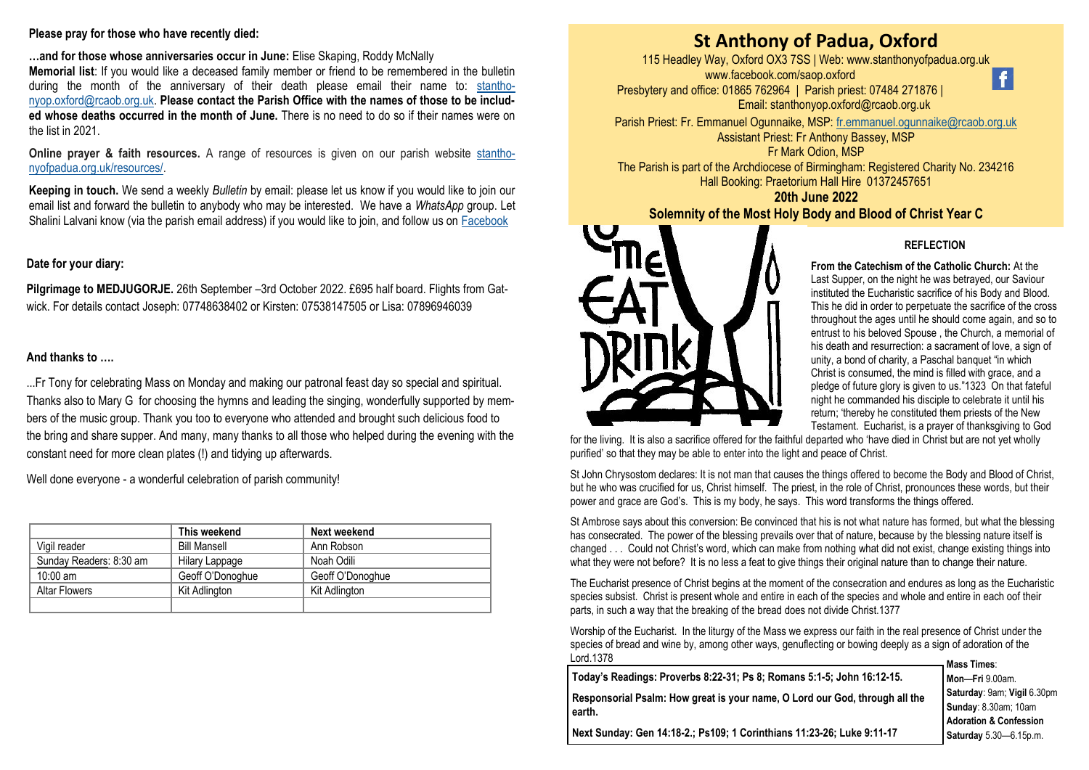### **Please pray for those who have recently died:**

**…and for those whose anniversaries occur in June:** Elise Skaping, Roddy McNally **Memorial list**: If you would like a deceased family member or friend to be remembered in the bulletin during the month of the anniversary of their death please email their name to: [stantho](mailto:stanthonyop.oxford@rcaob.org.uk)[nyop.oxford@rcaob.org.uk.](mailto:stanthonyop.oxford@rcaob.org.uk) **Please contact the Parish Office with the names of those to be included whose deaths occurred in the month of June.** There is no need to do so if their names were on the list in 2021.

**Online prayer & faith resources.** A range of resources is given on our parish website [stantho](http://www.stanthonyofpadua.org.uk/resources/)[nyofpadua.org.uk/resources/.](http://www.stanthonyofpadua.org.uk/resources/)

**Keeping in touch.** We send a weekly *Bulletin* by email: please let us know if you would like to join our email list and forward the bulletin to anybody who may be interested. We have a *WhatsApp* group. Let Shalini Lalvani know (via the parish email address) if you would like to join, and follow us on [Facebook](http://www.facebook.com/saop.oxford)

# **Date for your diary:**

**Pilgrimage to MEDJUGORJE.** 26th September –3rd October 2022. £695 half board. Flights from Gatwick. For details contact Joseph: 07748638402 or Kirsten: 07538147505 or Lisa: 07896946039

## **And thanks to ….**

...Fr Tony for celebrating Mass on Monday and making our patronal feast day so special and spiritual. Thanks also to Mary G for choosing the hymns and leading the singing, wonderfully supported by members of the music group. Thank you too to everyone who attended and brought such delicious food to the bring and share supper. And many, many thanks to all those who helped during the evening with the constant need for more clean plates (!) and tidying up afterwards.

Well done everyone - a wonderful celebration of parish community!

|                         | This weekend        | Next weekend     |
|-------------------------|---------------------|------------------|
| Vigil reader            | <b>Bill Mansell</b> | Ann Robson       |
| Sunday Readers: 8:30 am | Hilary Lappage      | Noah Odili       |
| $10:00$ am              | Geoff O'Donoghue    | Geoff O'Donoghue |
| <b>Altar Flowers</b>    | Kit Adlington       | Kit Adlington    |
|                         |                     |                  |

# **St Anthony of Padua, Oxford**

115 Headley Way, Oxford OX3 7SS | Web: www.stanthonyofpadua.org.uk www.facebook.com/saop.oxford Presbytery and office: 01865 762964 | Parish priest: 07484 271876 | Email: stanthonyop.oxford@rcaob.org.uk



Parish Priest: Fr. Emmanuel Ogunnaike, MSP: [fr.emmanuel.ogunnaike@rcaob.org.uk](mailto:fr.emmanuel.ogunnaike@rcaob.org.uk) Assistant Priest: Fr Anthony Bassey, MSP Fr Mark Odion, MSP

The Parish is part of the Archdiocese of Birmingham: Registered Charity No. 234216 Hall Booking: Praetorium Hall Hire 01372457651

**20th June 2022 Solemnity of the Most Holy Body and Blood of Christ Year C** 



## **REFLECTION**

**From the Catechism of the Catholic Church:** At the Last Supper, on the night he was betrayed, our Saviour instituted the Eucharistic sacrifice of his Body and Blood. This he did in order to perpetuate the sacrifice of the cross throughout the ages until he should come again, and so to entrust to his beloved Spouse , the Church, a memorial of his death and resurrection: a sacrament of love, a sign of unity, a bond of charity, a Paschal banquet "in which Christ is consumed, the mind is filled with grace, and a pledge of future glory is given to us."1323 On that fateful night he commanded his disciple to celebrate it until his return; 'thereby he constituted them priests of the New Testament. Eucharist, is a prayer of thanksgiving to God

for the living. It is also a sacrifice offered for the faithful departed who 'have died in Christ but are not yet wholly purified' so that they may be able to enter into the light and peace of Christ.

St John Chrysostom declares: It is not man that causes the things offered to become the Body and Blood of Christ, but he who was crucified for us, Christ himself. The priest, in the role of Christ, pronounces these words, but their power and grace are God's. This is my body, he says. This word transforms the things offered.

St Ambrose says about this conversion: Be convinced that his is not what nature has formed, but what the blessing has consecrated. The power of the blessing prevails over that of nature, because by the blessing nature itself is changed . . . Could not Christ's word, which can make from nothing what did not exist, change existing things into what they were not before? It is no less a feat to give things their original nature than to change their nature.

The Eucharist presence of Christ begins at the moment of the consecration and endures as long as the Eucharistic species subsist. Christ is present whole and entire in each of the species and whole and entire in each oof their parts, in such a way that the breaking of the bread does not divide Christ.1377

Worship of the Eucharist. In the liturgy of the Mass we express our faith in the real presence of Christ under the species of bread and wine by, among other ways, genuflecting or bowing deeply as a sign of adoration of the Lord.1378

| Today's Readings: Proverbs 8:22-31; Ps 8; Romans 5:1-5; John 16:12-15.                | .<br>M     |
|---------------------------------------------------------------------------------------|------------|
| Responsorial Psalm: How great is your name, O Lord our God, through all the<br>earth. | l s<br>l s |
|                                                                                       | l٨         |

**Mass Times**: **Mon**—**Fri** 9.00am. **Saturday**: 9am; **Vigil** 6.30pm **Sunday**: 8.30am; 10am **Adoration & Confession Saturday** 5.30—6.15p.m.

**Next Sunday: Gen 14:18-2.; Ps109; 1 Corinthians 11:23-26; Luke 9:11-17**